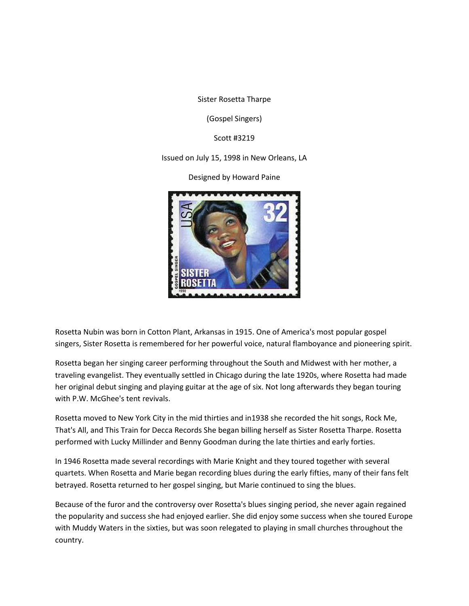Sister Rosetta Tharpe

(Gospel Singers)

Scott #3219

## Issued on July 15, 1998 in New Orleans, LA

Designed by Howard Paine



Rosetta Nubin was born in Cotton Plant, Arkansas in 1915. One of America's most popular gospel singers, Sister Rosetta is remembered for her powerful voice, natural flamboyance and pioneering spirit.

Rosetta began her singing career performing throughout the South and Midwest with her mother, a traveling evangelist. They eventually settled in Chicago during the late 1920s, where Rosetta had made her original debut singing and playing guitar at the age of six. Not long afterwards they began touring with P.W. McGhee's tent revivals.

Rosetta moved to New York City in the mid thirties and in1938 she recorded the hit songs, Rock Me, That's All, and This Train for Decca Records She began billing herself as Sister Rosetta Tharpe. Rosetta performed with Lucky Millinder and Benny Goodman during the late thirties and early forties.

In 1946 Rosetta made several recordings with Marie Knight and they toured together with several quartets. When Rosetta and Marie began recording blues during the early fifties, many of their fans felt betrayed. Rosetta returned to her gospel singing, but Marie continued to sing the blues.

Because of the furor and the controversy over Rosetta's blues singing period, she never again regained the popularity and success she had enjoyed earlier. She did enjoy some success when she toured Europe with Muddy Waters in the sixties, but was soon relegated to playing in small churches throughout the country.